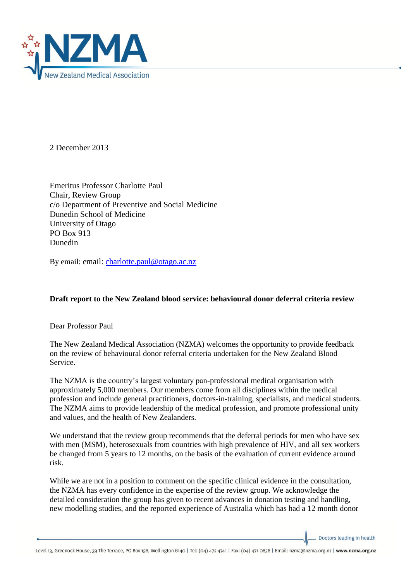

2 December 2013

Emeritus Professor Charlotte Paul Chair, Review Group c/o Department of Preventive and Social Medicine Dunedin School of Medicine University of Otago PO Box 913 Dunedin

By email: email: [charlotte.paul@otago.ac.nz](mailto:charlotte.paul@otago.ac.nz)

## **Draft report to the New Zealand blood service: behavioural donor deferral criteria review**

Dear Professor Paul

The New Zealand Medical Association (NZMA) welcomes the opportunity to provide feedback on the review of behavioural donor referral criteria undertaken for the New Zealand Blood Service.

The NZMA is the country's largest voluntary pan-professional medical organisation with approximately 5,000 members. Our members come from all disciplines within the medical profession and include general practitioners, doctors-in-training, specialists, and medical students. The NZMA aims to provide leadership of the medical profession, and promote professional unity and values, and the health of New Zealanders.

We understand that the review group recommends that the deferral periods for men who have sex with men (MSM), heterosexuals from countries with high prevalence of HIV, and all sex workers be changed from 5 years to 12 months, on the basis of the evaluation of current evidence around risk.

While we are not in a position to comment on the specific clinical evidence in the consultation, the NZMA has every confidence in the expertise of the review group. We acknowledge the detailed consideration the group has given to recent advances in donation testing and handling, new modelling studies, and the reported experience of Australia which has had a 12 month donor

Doctors leading in health